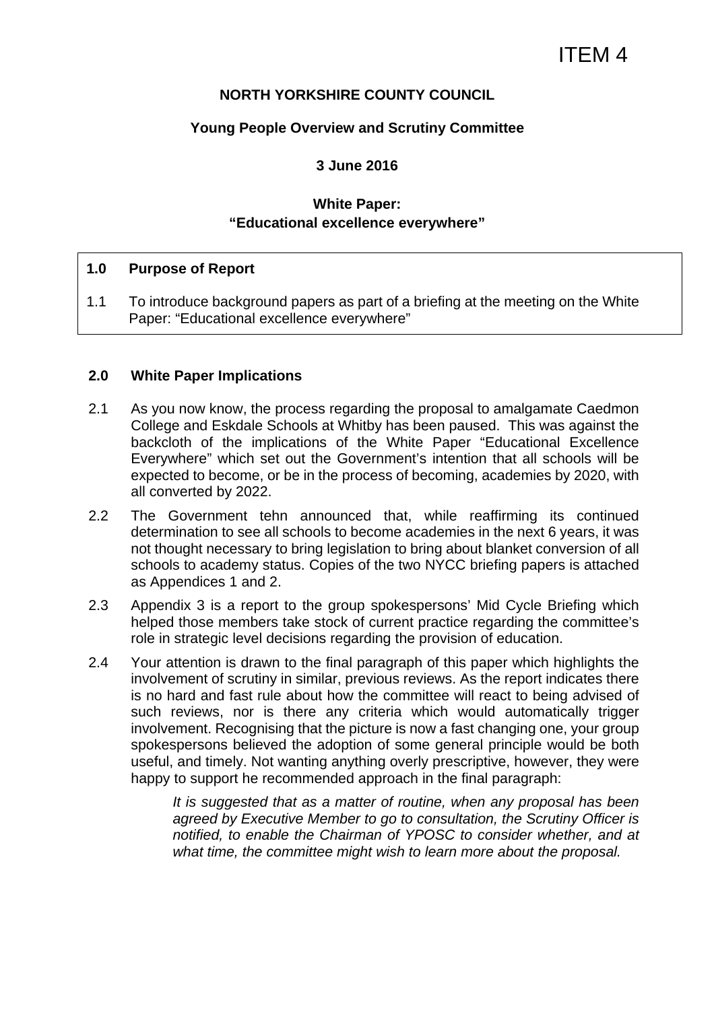# **NORTH YORKSHIRE COUNTY COUNCIL**

#### **Young People Overview and Scrutiny Committee**

## **3 June 2016**

# **White Paper: "Educational excellence everywhere"**

#### **1.0 Purpose of Report**

1.1 To introduce background papers as part of a briefing at the meeting on the White Paper: "Educational excellence everywhere"

#### **2.0 White Paper Implications**

- 2.1 As you now know, the process regarding the proposal to amalgamate Caedmon College and Eskdale Schools at Whitby has been paused. This was against the backcloth of the implications of the White Paper "Educational Excellence Everywhere" which set out the Government's intention that all schools will be expected to become, or be in the process of becoming, academies by 2020, with all converted by 2022.
- 2.2 The Government tehn announced that, while reaffirming its continued determination to see all schools to become academies in the next 6 years, it was not thought necessary to bring legislation to bring about blanket conversion of all schools to academy status. Copies of the two NYCC briefing papers is attached as Appendices 1 and 2.
- 2.3 Appendix 3 is a report to the group spokespersons' Mid Cycle Briefing which helped those members take stock of current practice regarding the committee's role in strategic level decisions regarding the provision of education.
- 2.4 Your attention is drawn to the final paragraph of this paper which highlights the involvement of scrutiny in similar, previous reviews. As the report indicates there is no hard and fast rule about how the committee will react to being advised of such reviews, nor is there any criteria which would automatically trigger involvement. Recognising that the picture is now a fast changing one, your group spokespersons believed the adoption of some general principle would be both useful, and timely. Not wanting anything overly prescriptive, however, they were happy to support he recommended approach in the final paragraph:

*It is suggested that as a matter of routine, when any proposal has been agreed by Executive Member to go to consultation, the Scrutiny Officer is notified, to enable the Chairman of YPOSC to consider whether, and at what time, the committee might wish to learn more about the proposal.*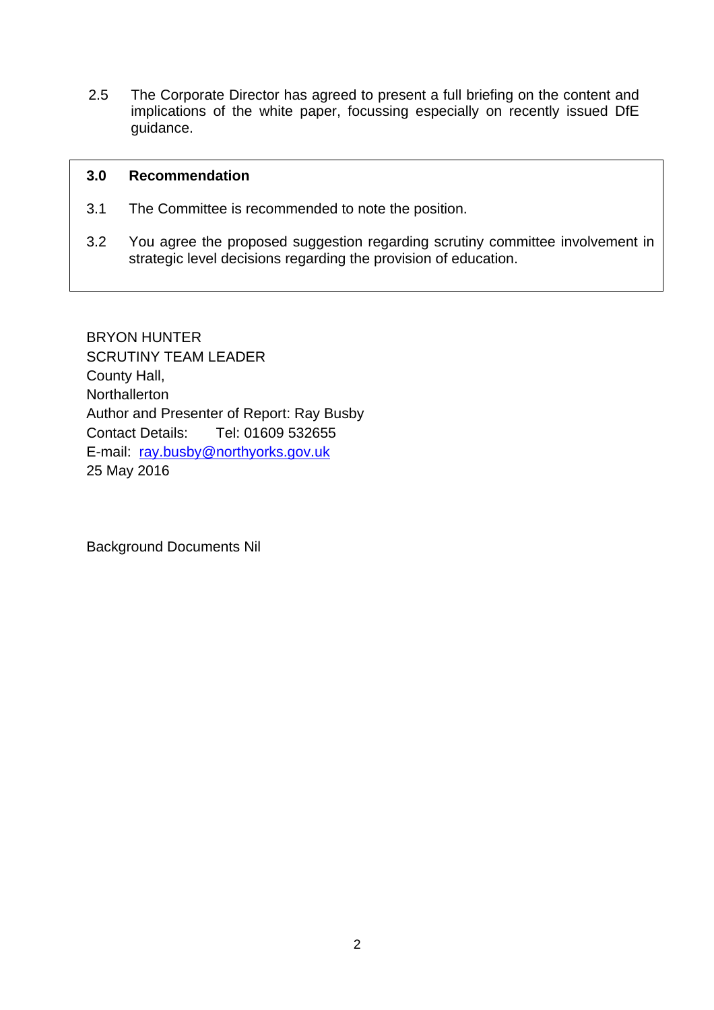2.5 The Corporate Director has agreed to present a full briefing on the content and implications of the white paper, focussing especially on recently issued DfE guidance.

#### **3.0 Recommendation**

- 3.1 The Committee is recommended to note the position.
- 3.2 You agree the proposed suggestion regarding scrutiny committee involvement in strategic level decisions regarding the provision of education.

BRYON HUNTER SCRUTINY TEAM LEADER County Hall, Northallerton Author and Presenter of Report: Ray Busby Contact Details: Tel: 01609 532655 E-mail: ray.busby@northyorks.gov.uk 25 May 2016

Background Documents Nil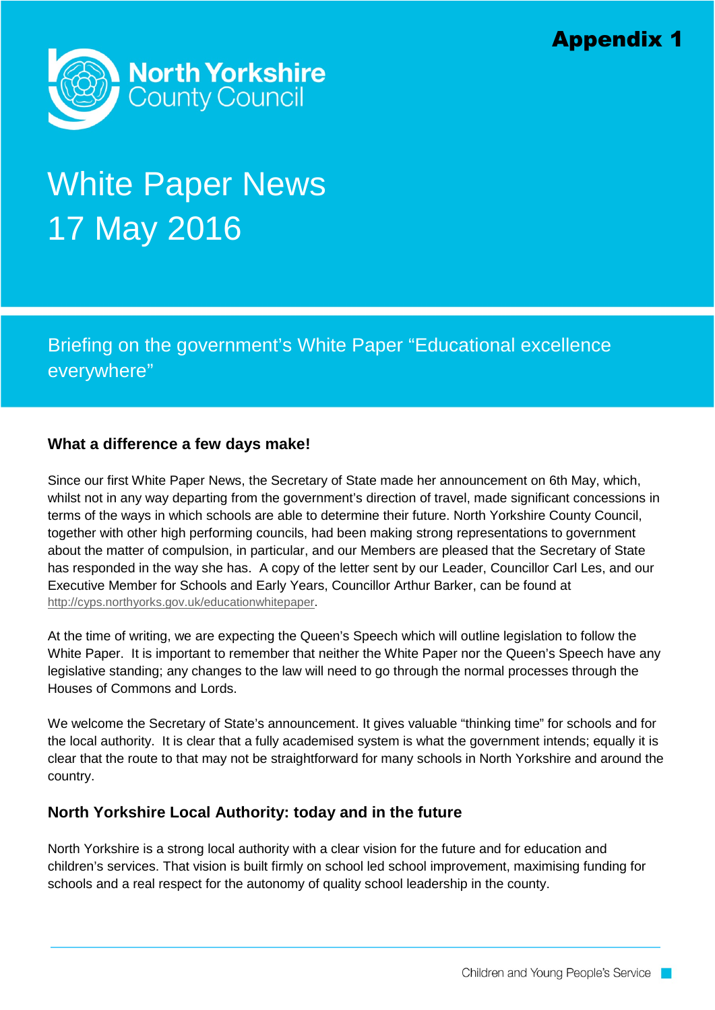

# White Paper News 17 May 2016

Briefing on the government's White Paper "Educational excellence everywhere"

# **What a difference a few days make!**

Since our first White Paper News, the Secretary of State made her announcement on 6th May, which, whilst not in any way departing from the government's direction of travel, made significant concessions in terms of the ways in which schools are able to determine their future. North Yorkshire County Council, together with other high performing councils, had been making strong representations to government about the matter of compulsion, in particular, and our Members are pleased that the Secretary of State has responded in the way she has. A copy of the letter sent by our Leader, Councillor Carl Les, and our Executive Member for Schools and Early Years, Councillor Arthur Barker, can be found at [http://cyps.northyorks.gov.uk/educationwhitepaper.](http://cyps.northyorks.gov.uk/educationwhitepaper)

At the time of writing, we are expecting the Queen's Speech which will outline legislation to follow the White Paper. It is important to remember that neither the White Paper nor the Queen's Speech have any legislative standing; any changes to the law will need to go through the normal processes through the Houses of Commons and Lords.

We welcome the Secretary of State's announcement. It gives valuable "thinking time" for schools and for the local authority. It is clear that a fully academised system is what the government intends; equally it is clear that the route to that may not be straightforward for many schools in North Yorkshire and around the country.

# **North Yorkshire Local Authority: today and in the future**

North Yorkshire is a strong local authority with a clear vision for the future and for education and children's services. That vision is built firmly on school led school improvement, maximising funding for schools and a real respect for the autonomy of quality school leadership in the county.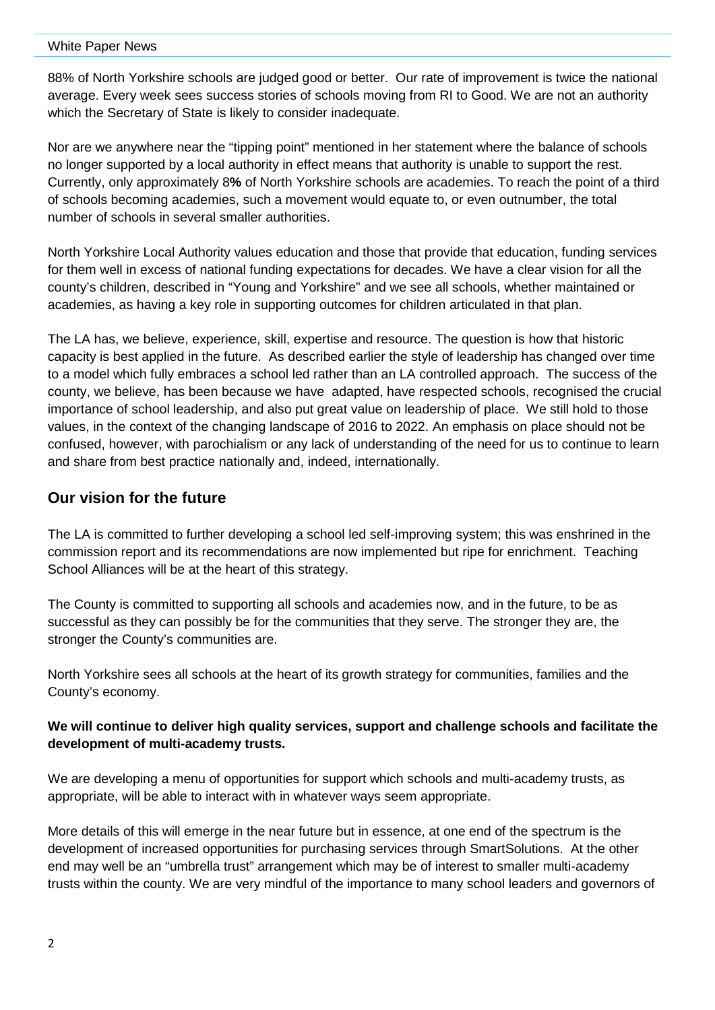#### White Paper News

88% of North Yorkshire schools are judged good or better. Our rate of improvement is twice the national average. Every week sees success stories of schools moving from RI to Good. We are not an authority which the Secretary of State is likely to consider inadequate.

Nor are we anywhere near the "tipping point" mentioned in her statement where the balance of schools no longer supported by a local authority in effect means that authority is unable to support the rest. Currently, only approximately 8**%** of North Yorkshire schools are academies. To reach the point of a third of schools becoming academies, such a movement would equate to, or even outnumber, the total number of schools in several smaller authorities.

North Yorkshire Local Authority values education and those that provide that education, funding services for them well in excess of national funding expectations for decades. We have a clear vision for all the county's children, described in "Young and Yorkshire" and we see all schools, whether maintained or academies, as having a key role in supporting outcomes for children articulated in that plan.

The LA has, we believe, experience, skill, expertise and resource. The question is how that historic capacity is best applied in the future. As described earlier the style of leadership has changed over time to a model which fully embraces a school led rather than an LA controlled approach. The success of the county, we believe, has been because we have adapted, have respected schools, recognised the crucial importance of school leadership, and also put great value on leadership of place. We still hold to those values, in the context of the changing landscape of 2016 to 2022. An emphasis on place should not be confused, however, with parochialism or any lack of understanding of the need for us to continue to learn and share from best practice nationally and, indeed, internationally.

# **Our vision for the future**

The LA is committed to further developing a school led self-improving system; this was enshrined in the commission report and its recommendations are now implemented but ripe for enrichment. Teaching School Alliances will be at the heart of this strategy.

The County is committed to supporting all schools and academies now, and in the future, to be as successful as they can possibly be for the communities that they serve. The stronger they are, the stronger the County's communities are.

North Yorkshire sees all schools at the heart of its growth strategy for communities, families and the County's economy.

#### **We will continue to deliver high quality services, support and challenge schools and facilitate the development of multi-academy trusts.**

We are developing a menu of opportunities for support which schools and multi-academy trusts, as appropriate, will be able to interact with in whatever ways seem appropriate.

More details of this will emerge in the near future but in essence, at one end of the spectrum is the development of increased opportunities for purchasing services through SmartSolutions. At the other end may well be an "umbrella trust" arrangement which may be of interest to smaller multi-academy trusts within the county. We are very mindful of the importance to many school leaders and governors of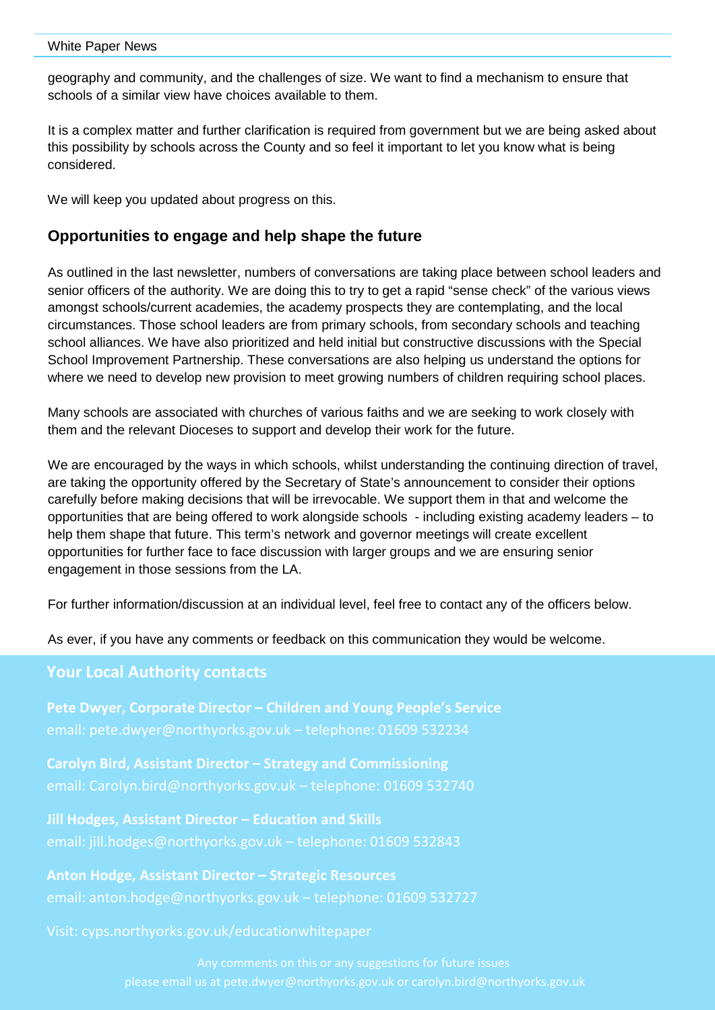#### White Paper News

geography and community, and the challenges of size. We want to find a mechanism to ensure that schools of a similar view have choices available to them.

It is a complex matter and further clarification is required from government but we are being asked about this possibility by schools across the County and so feel it important to let you know what is being considered.

We will keep you updated about progress on this.

# **Opportunities to engage and help shape the future**

As outlined in the last newsletter, numbers of conversations are taking place between school leaders and senior officers of the authority. We are doing this to try to get a rapid "sense check" of the various views amongst schools/current academies, the academy prospects they are contemplating, and the local circumstances. Those school leaders are from primary schools, from secondary schools and teaching school alliances. We have also prioritized and held initial but constructive discussions with the Special School Improvement Partnership. These conversations are also helping us understand the options for where we need to develop new provision to meet growing numbers of children requiring school places.

Many schools are associated with churches of various faiths and we are seeking to work closely with them and the relevant Dioceses to support and develop their work for the future.

We are encouraged by the ways in which schools, whilst understanding the continuing direction of travel, are taking the opportunity offered by the Secretary of State's announcement to consider their options carefully before making decisions that will be irrevocable. We support them in that and welcome the opportunities that are being offered to work alongside schools - including existing academy leaders – to help them shape that future. This term's network and governor meetings will create excellent opportunities for further face to face discussion with larger groups and we are ensuring senior engagement in those sessions from the LA.

For further information/discussion at an individual level, feel free to contact any of the officers below.

As ever, if you have any comments or feedback on this communication they would be welcome.

#### **Your Local Authority contacts**

**Pete Dwyer, Corporate Director – Children and Young People's Service** email: pete.dwyer@northyorks.gov.uk – telephone: 01609 532234

**Carolyn Bird, Assistant Director – Strategy and Commissioning**

**Jill Hodges, Assistant Director – Education and Skills**

**Anton Hodge, Assistant Director – Strategic Resources**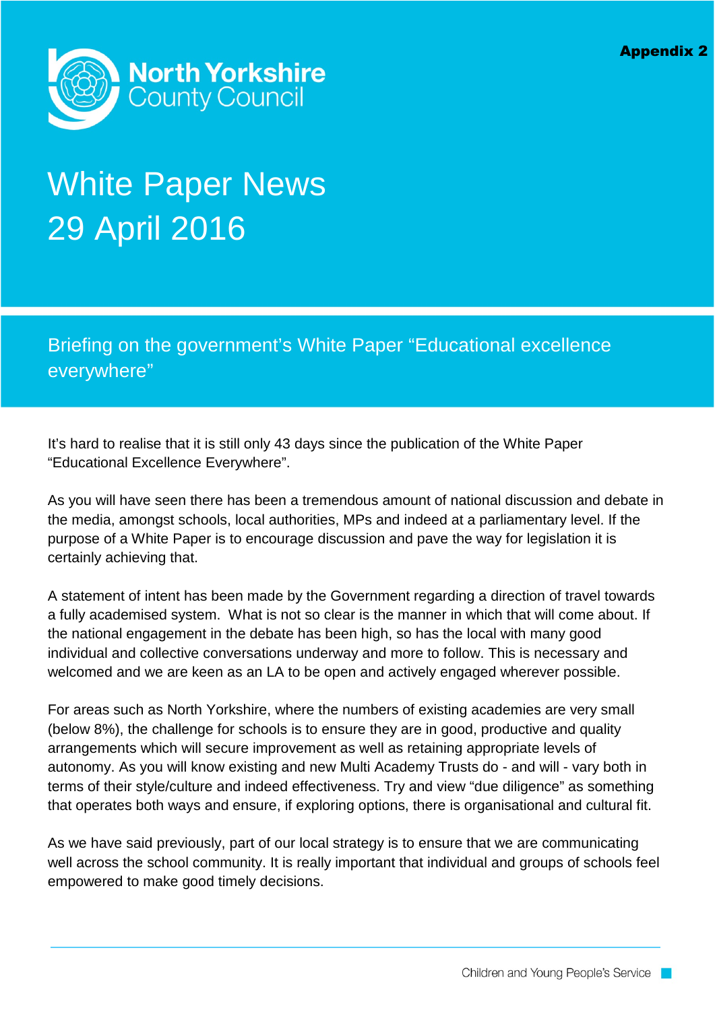

# White Paper News 29 April 2016

Briefing on the government's White Paper "Educational excellence everywhere"

It's hard to realise that it is still only 43 days since the publication of the White Paper "Educational Excellence Everywhere".

As you will have seen there has been a tremendous amount of national discussion and debate in the media, amongst schools, local authorities, MPs and indeed at a parliamentary level. If the purpose of a White Paper is to encourage discussion and pave the way for legislation it is certainly achieving that.

A statement of intent has been made by the Government regarding a direction of travel towards a fully academised system. What is not so clear is the manner in which that will come about. If the national engagement in the debate has been high, so has the local with many good individual and collective conversations underway and more to follow. This is necessary and welcomed and we are keen as an LA to be open and actively engaged wherever possible.

For areas such as North Yorkshire, where the numbers of existing academies are very small (below 8%), the challenge for schools is to ensure they are in good, productive and quality arrangements which will secure improvement as well as retaining appropriate levels of autonomy. As you will know existing and new Multi Academy Trusts do - and will - vary both in terms of their style/culture and indeed effectiveness. Try and view "due diligence" as something that operates both ways and ensure, if exploring options, there is organisational and cultural fit.

As we have said previously, part of our local strategy is to ensure that we are communicating well across the school community. It is really important that individual and groups of schools feel empowered to make good timely decisions.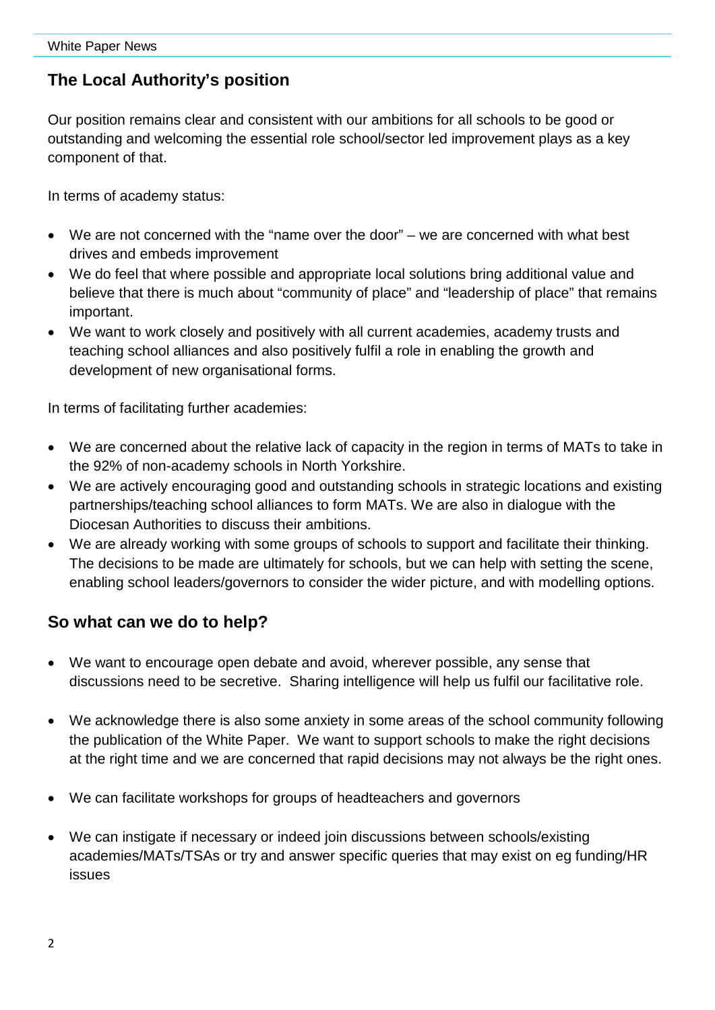# **The Local Authority's position**

Our position remains clear and consistent with our ambitions for all schools to be good or outstanding and welcoming the essential role school/sector led improvement plays as a key component of that.

In terms of academy status:

- We are not concerned with the "name over the door" we are concerned with what best drives and embeds improvement
- We do feel that where possible and appropriate local solutions bring additional value and believe that there is much about "community of place" and "leadership of place" that remains important.
- We want to work closely and positively with all current academies, academy trusts and teaching school alliances and also positively fulfil a role in enabling the growth and development of new organisational forms.

In terms of facilitating further academies:

- We are concerned about the relative lack of capacity in the region in terms of MATs to take in the 92% of non-academy schools in North Yorkshire.
- We are actively encouraging good and outstanding schools in strategic locations and existing partnerships/teaching school alliances to form MATs. We are also in dialogue with the Diocesan Authorities to discuss their ambitions.
- We are already working with some groups of schools to support and facilitate their thinking. The decisions to be made are ultimately for schools, but we can help with setting the scene, enabling school leaders/governors to consider the wider picture, and with modelling options.

# **So what can we do to help?**

- We want to encourage open debate and avoid, wherever possible, any sense that discussions need to be secretive. Sharing intelligence will help us fulfil our facilitative role.
- We acknowledge there is also some anxiety in some areas of the school community following the publication of the White Paper. We want to support schools to make the right decisions at the right time and we are concerned that rapid decisions may not always be the right ones.
- We can facilitate workshops for groups of headteachers and governors
- We can instigate if necessary or indeed join discussions between schools/existing academies/MATs/TSAs or try and answer specific queries that may exist on eg funding/HR issues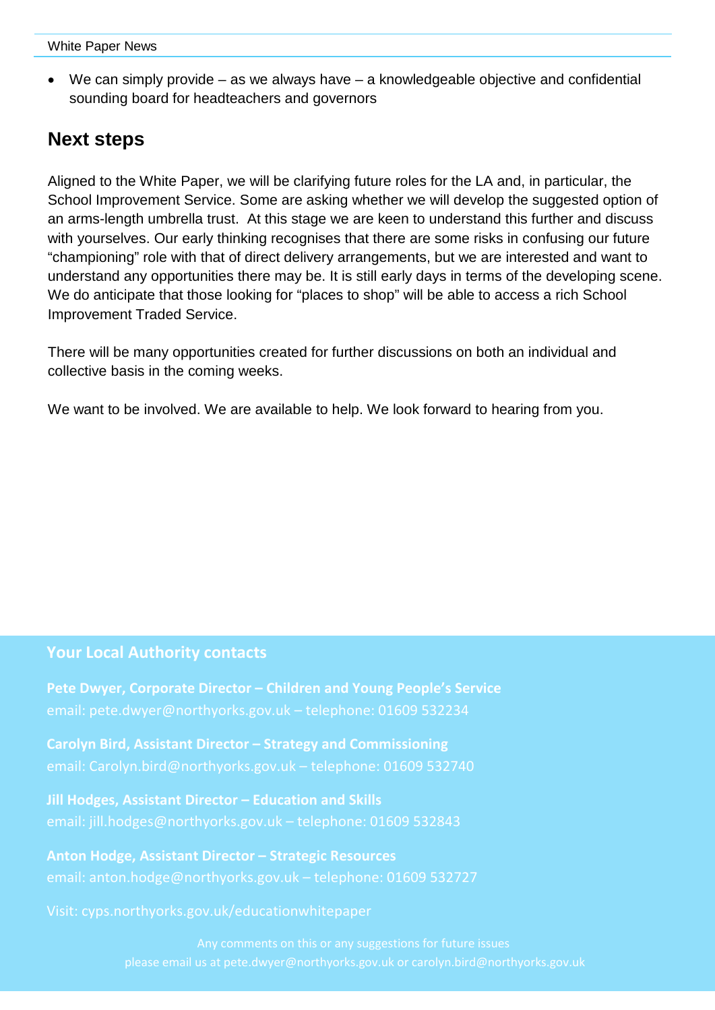• We can simply provide – as we always have – a knowledgeable objective and confidential sounding board for headteachers and governors

# **Next steps**

Aligned to the White Paper, we will be clarifying future roles for the LA and, in particular, the School Improvement Service. Some are asking whether we will develop the suggested option of an arms-length umbrella trust. At this stage we are keen to understand this further and discuss with yourselves. Our early thinking recognises that there are some risks in confusing our future "championing" role with that of direct delivery arrangements, but we are interested and want to understand any opportunities there may be. It is still early days in terms of the developing scene. We do anticipate that those looking for "places to shop" will be able to access a rich School Improvement Traded Service.

There will be many opportunities created for further discussions on both an individual and collective basis in the coming weeks.

We want to be involved. We are available to help. We look forward to hearing from you.

# **Your Local Authority contacts**

**Pete Dwyer, Corporate Director – Children and Young People's Service**

**Carolyn Bird, Assistant Director – Strategy and Commissioning**

**Jill Hodges, Assistant Director – Education and Skills**

**Anton Hodge, Assistant Director – Strategic Resources** email: anton.hodge@northyorks.gov.uk – telephone: 01609 532727

Visit: cyps.northyorks.gov.uk/educationwhitepaper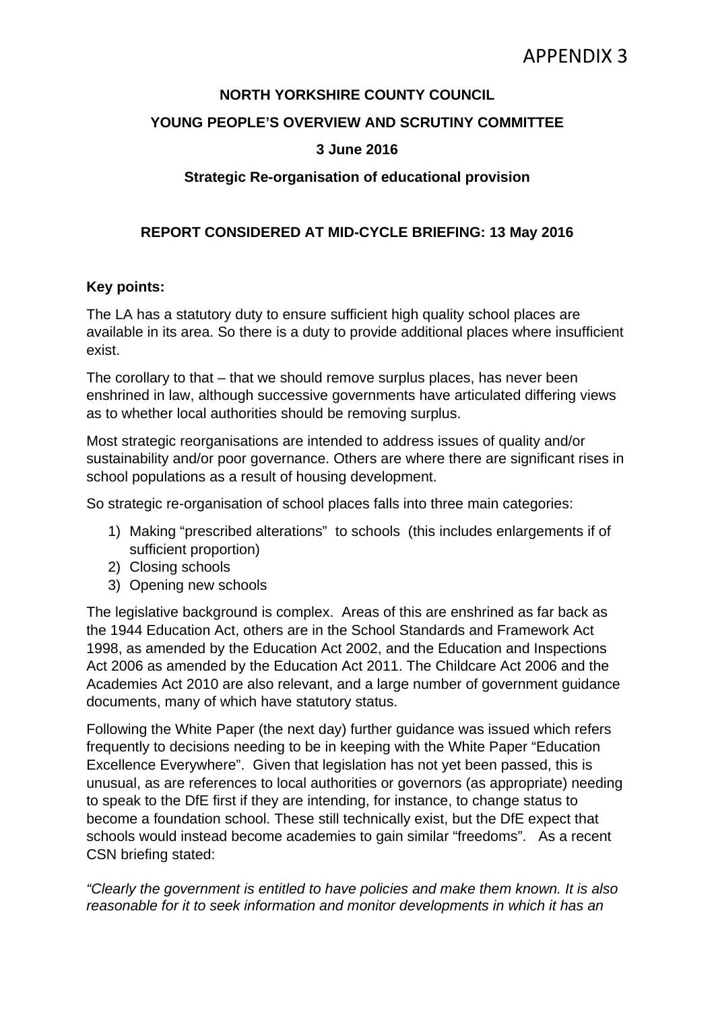# **NORTH YORKSHIRE COUNTY COUNCIL**

# **YOUNG PEOPLE'S OVERVIEW AND SCRUTINY COMMITTEE**

# **3 June 2016**

# **Strategic Re-organisation of educational provision**

# **REPORT CONSIDERED AT MID-CYCLE BRIEFING: 13 May 2016**

## **Key points:**

The LA has a statutory duty to ensure sufficient high quality school places are available in its area. So there is a duty to provide additional places where insufficient exist.

The corollary to that – that we should remove surplus places, has never been enshrined in law, although successive governments have articulated differing views as to whether local authorities should be removing surplus.

Most strategic reorganisations are intended to address issues of quality and/or sustainability and/or poor governance. Others are where there are significant rises in school populations as a result of housing development.

So strategic re-organisation of school places falls into three main categories:

- 1) Making "prescribed alterations" to schools (this includes enlargements if of sufficient proportion)
- 2) Closing schools
- 3) Opening new schools

The legislative background is complex. Areas of this are enshrined as far back as the 1944 Education Act, others are in the School Standards and Framework Act 1998, as amended by the Education Act 2002, and the Education and Inspections Act 2006 as amended by the Education Act 2011. The Childcare Act 2006 and the Academies Act 2010 are also relevant, and a large number of government guidance documents, many of which have statutory status.

Following the White Paper (the next day) further guidance was issued which refers frequently to decisions needing to be in keeping with the White Paper "Education Excellence Everywhere". Given that legislation has not yet been passed, this is unusual, as are references to local authorities or governors (as appropriate) needing to speak to the DfE first if they are intending, for instance, to change status to become a foundation school. These still technically exist, but the DfE expect that schools would instead become academies to gain similar "freedoms". As a recent CSN briefing stated:

*"Clearly the government is entitled to have policies and make them known. It is also reasonable for it to seek information and monitor developments in which it has an*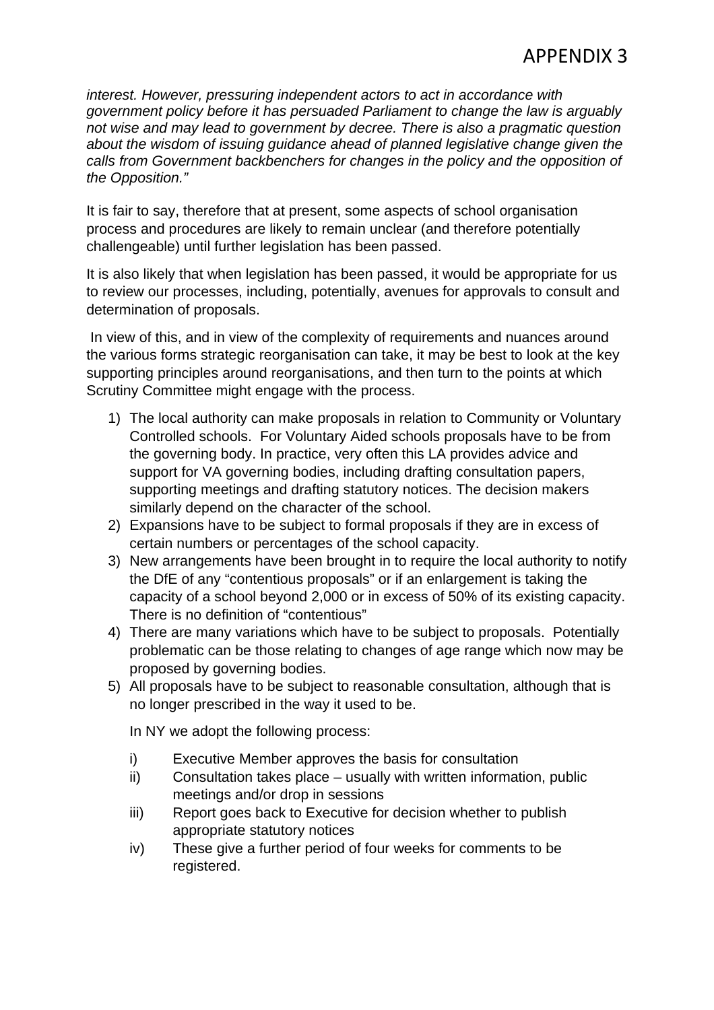*interest. However, pressuring independent actors to act in accordance with government policy before it has persuaded Parliament to change the law is arguably not wise and may lead to government by decree. There is also a pragmatic question about the wisdom of issuing guidance ahead of planned legislative change given the calls from Government backbenchers for changes in the policy and the opposition of the Opposition."* 

It is fair to say, therefore that at present, some aspects of school organisation process and procedures are likely to remain unclear (and therefore potentially challengeable) until further legislation has been passed.

It is also likely that when legislation has been passed, it would be appropriate for us to review our processes, including, potentially, avenues for approvals to consult and determination of proposals.

 In view of this, and in view of the complexity of requirements and nuances around the various forms strategic reorganisation can take, it may be best to look at the key supporting principles around reorganisations, and then turn to the points at which Scrutiny Committee might engage with the process.

- 1) The local authority can make proposals in relation to Community or Voluntary Controlled schools. For Voluntary Aided schools proposals have to be from the governing body. In practice, very often this LA provides advice and support for VA governing bodies, including drafting consultation papers, supporting meetings and drafting statutory notices. The decision makers similarly depend on the character of the school.
- 2) Expansions have to be subject to formal proposals if they are in excess of certain numbers or percentages of the school capacity.
- 3) New arrangements have been brought in to require the local authority to notify the DfE of any "contentious proposals" or if an enlargement is taking the capacity of a school beyond 2,000 or in excess of 50% of its existing capacity. There is no definition of "contentious"
- 4) There are many variations which have to be subject to proposals. Potentially problematic can be those relating to changes of age range which now may be proposed by governing bodies.
- 5) All proposals have to be subject to reasonable consultation, although that is no longer prescribed in the way it used to be.

In NY we adopt the following process:

- i) Executive Member approves the basis for consultation
- ii) Consultation takes place usually with written information, public meetings and/or drop in sessions
- iii) Report goes back to Executive for decision whether to publish appropriate statutory notices
- iv) These give a further period of four weeks for comments to be registered.